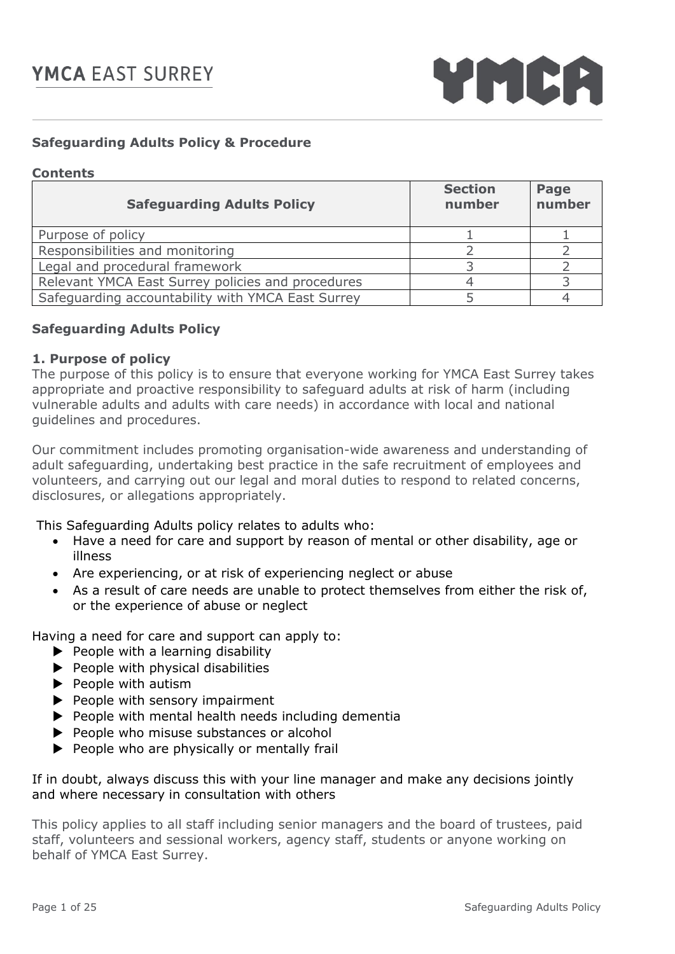

## **Safeguarding Adults Policy & Procedure**

#### **Contents**

| <b>Safeguarding Adults Policy</b>                 | <b>Section</b><br>number | Page<br>number |
|---------------------------------------------------|--------------------------|----------------|
| Purpose of policy                                 |                          |                |
| Responsibilities and monitoring                   |                          |                |
| Legal and procedural framework                    |                          |                |
| Relevant YMCA East Surrey policies and procedures |                          |                |
| Safeguarding accountability with YMCA East Surrey |                          |                |

## **Safeguarding Adults Policy**

#### **1. Purpose of policy**

The purpose of this policy is to ensure that everyone working for YMCA East Surrey takes appropriate and proactive responsibility to safeguard adults at risk of harm (including vulnerable adults and adults with care needs) in accordance with local and national guidelines and procedures.

Our commitment includes promoting organisation-wide awareness and understanding of adult safeguarding, undertaking best practice in the safe recruitment of employees and volunteers, and carrying out our legal and moral duties to respond to related concerns, disclosures, or allegations appropriately.

This Safeguarding Adults policy relates to adults who:

- Have a need for care and support by reason of mental or other disability, age or illness
- Are experiencing, or at risk of experiencing neglect or abuse
- As a result of care needs are unable to protect themselves from either the risk of, or the experience of abuse or neglect

Having a need for care and support can apply to:

- $\blacktriangleright$  People with a learning disability
- $\blacktriangleright$  People with physical disabilities
- $\blacktriangleright$  People with autism
- $\blacktriangleright$  People with sensory impairment
- $\blacktriangleright$  People with mental health needs including dementia
- People who misuse substances or alcohol
- $\blacktriangleright$  People who are physically or mentally frail

If in doubt, always discuss this with your line manager and make any decisions jointly and where necessary in consultation with others

This policy applies to all staff including senior managers and the board of trustees, paid staff, volunteers and sessional workers, agency staff, students or anyone working on behalf of YMCA East Surrey.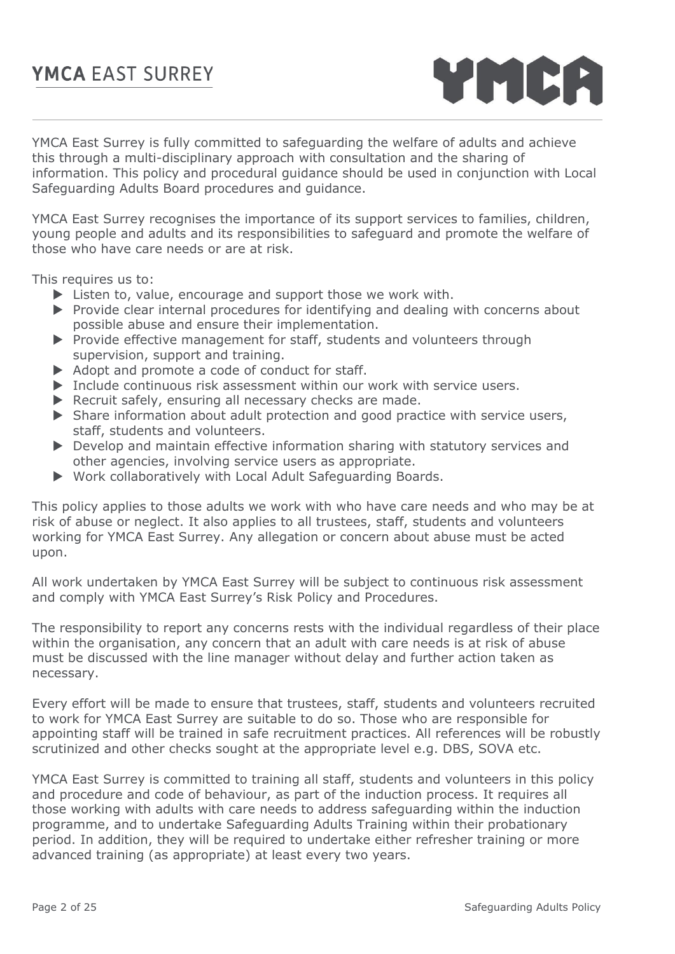

YMCA East Surrey is fully committed to safeguarding the welfare of adults and achieve this through a multi-disciplinary approach with consultation and the sharing of information. This policy and procedural guidance should be used in conjunction with Local Safeguarding Adults Board procedures and guidance.

YMCA East Surrey recognises the importance of its support services to families, children, young people and adults and its responsibilities to safeguard and promote the welfare of those who have care needs or are at risk.

This requires us to:

- Eisten to, value, encourage and support those we work with.
- $\triangleright$  Provide clear internal procedures for identifying and dealing with concerns about possible abuse and ensure their implementation.
- Provide effective management for staff, students and volunteers through supervision, support and training.
- $\triangleright$  Adopt and promote a code of conduct for staff.
- $\triangleright$  Include continuous risk assessment within our work with service users.
- $\blacktriangleright$  Recruit safely, ensuring all necessary checks are made.
- $\triangleright$  Share information about adult protection and good practice with service users, staff, students and volunteers.
- Develop and maintain effective information sharing with statutory services and other agencies, involving service users as appropriate.
- Work collaboratively with Local Adult Safeguarding Boards.

This policy applies to those adults we work with who have care needs and who may be at risk of abuse or neglect. It also applies to all trustees, staff, students and volunteers working for YMCA East Surrey. Any allegation or concern about abuse must be acted upon.

All work undertaken by YMCA East Surrey will be subject to continuous risk assessment and comply with YMCA East Surrey's Risk Policy and Procedures.

The responsibility to report any concerns rests with the individual regardless of their place within the organisation, any concern that an adult with care needs is at risk of abuse must be discussed with the line manager without delay and further action taken as necessary.

Every effort will be made to ensure that trustees, staff, students and volunteers recruited to work for YMCA East Surrey are suitable to do so. Those who are responsible for appointing staff will be trained in safe recruitment practices. All references will be robustly scrutinized and other checks sought at the appropriate level e.g. DBS, SOVA etc.

YMCA East Surrey is committed to training all staff, students and volunteers in this policy and procedure and code of behaviour, as part of the induction process. It requires all those working with adults with care needs to address safeguarding within the induction programme, and to undertake Safeguarding Adults Training within their probationary period. In addition, they will be required to undertake either refresher training or more advanced training (as appropriate) at least every two years.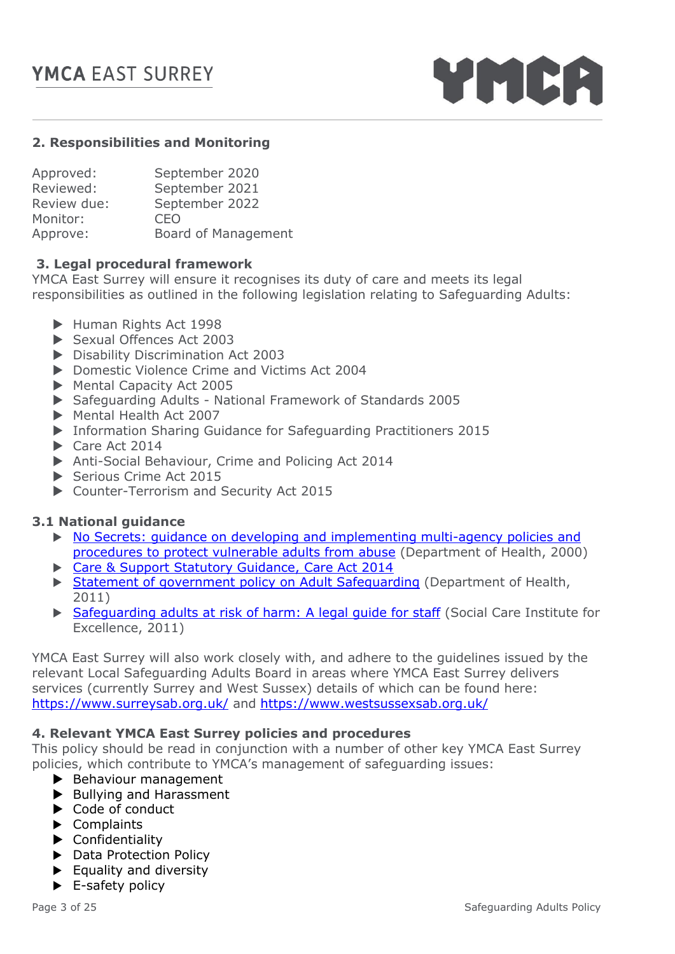

## **2. Responsibilities and Monitoring**

| September 2020      |
|---------------------|
| September 2021      |
| September 2022      |
| CEO                 |
| Board of Management |
|                     |

#### **3. Legal procedural framework**

YMCA East Surrey will ensure it recognises its duty of care and meets its legal responsibilities as outlined in the following legislation relating to Safeguarding Adults:

- Human Rights Act 1998
- Sexual Offences Act 2003
- ▶ Disability Discrimination Act 2003
- ▶ Domestic Violence Crime and Victims Act 2004
- Mental Capacity Act 2005
- Safeguarding Adults National Framework of Standards 2005
- Mental Health Act 2007
- Information Sharing Guidance for Safeguarding Practitioners 2015
- Care Act 2014
- Anti-Social Behaviour, Crime and Policing Act 2014
- Serious Crime Act 2015
- ▶ Counter-Terrorism and Security Act 2015

#### **3.1 National guidance**

- $\triangleright$  No Secrets: guidance on developing and implementing multi-agency policies and [procedures to protect vulnerable adults from abuse](https://www.gov.uk/government/publications/no-secrets-guidance-on-protecting-vulnerable-adults-in-care) (Department of Health, 2000)
- ▶ Care & Support Statutory Guidance, Care Act 2014
- Statement of government policy on Adult Safequarding (Department of Health, 2011)
- [Safeguarding adults at risk of harm: A legal guide for staff](https://www.gov.im/media/1350534/a-guide-to-practitioners.pdf) (Social Care Institute for Excellence, 2011)

YMCA East Surrey will also work closely with, and adhere to the guidelines issued by the relevant Local Safeguarding Adults Board in areas where YMCA East Surrey delivers services (currently Surrey and West Sussex) details of which can be found here: <https://www.surreysab.org.uk/> and<https://www.westsussexsab.org.uk/>

#### **4. Relevant YMCA East Surrey policies and procedures**

This policy should be read in conjunction with a number of other key YMCA East Surrey policies, which contribute to YMCA's management of safeguarding issues:

- Behaviour management
- [Bullying and Harassment](file:///G:/AllStaff/Policies,%20Procedures%20and%20Handbooks/Human%20Resources)
- [Code of conduct](file:///G:/AllStaff/Policies,%20Procedures%20and%20Handbooks/Human%20Resources)
- [Complaints](file:///G:/AllStaff/Policies,%20Procedures%20and%20Handbooks/Human%20Resources)
- [Confidentiality](file:///G:/AllStaff/Policies,%20Procedures%20and%20Handbooks/Children)
- ▶ Data Protection Policy
- $\blacktriangleright$  [Equality and diversity](file:///G:/AllStaff/Policies,%20Procedures%20and%20Handbooks/Human%20Resources)
- E-safety policy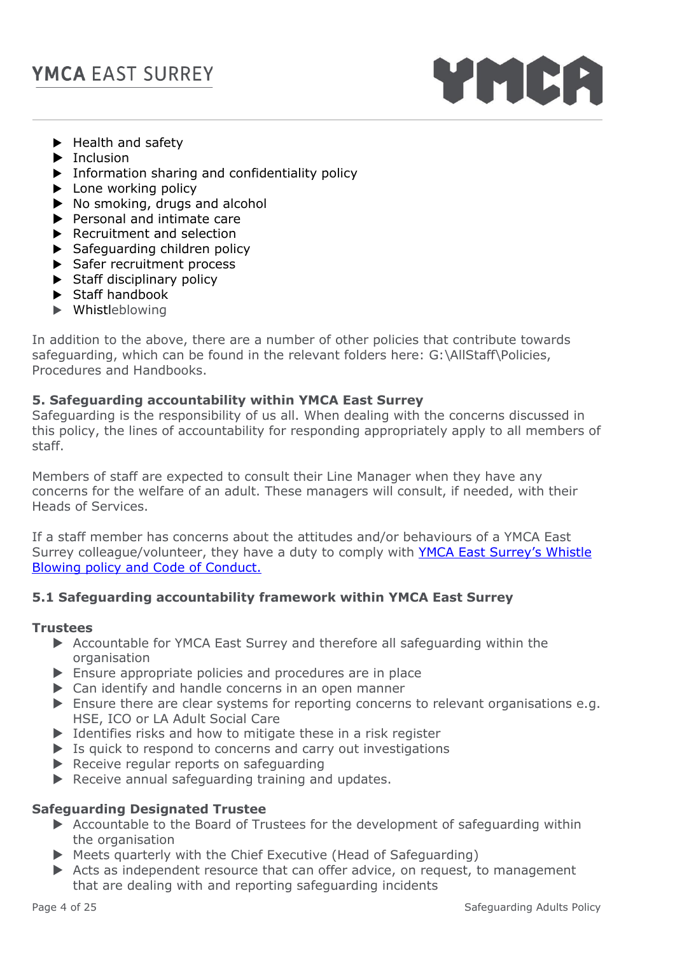

- $\blacktriangleright$  [Health and safety](file:///G:/AllStaff/Policies,%20Procedures%20and%20Handbooks/Facilities%20and%20Risk)
- $\blacktriangleright$  [Inclusion](file:///G:/AllStaff/Policies,%20Procedures%20and%20Handbooks/Children)
- **F** Information sharing and confidentiality policy
- $\blacktriangleright$  Lone working policy
- $\triangleright$  [No smoking, drugs and alcohol](file:///G:/AllStaff/Policies,%20Procedures%20and%20Handbooks/Children)
- $\blacktriangleright$  [Personal and intimate care](file:///G:/AllStaff/Policies,%20Procedures%20and%20Handbooks/Children)
- [Recruitment and selection](file:///G:/AllStaff/Policies,%20Procedures%20and%20Handbooks/Human%20Resources)
- $\blacktriangleright$  Safeguarding children policy
- Safer recruitment process
- $\blacktriangleright$  Staff disciplinary policy
- Staff handbook
- Whistleblowing

In addition to the above, there are a number of other policies that contribute towards safeguarding, which can be found in the relevant folders here: G:\AllStaff\Policies, Procedures and Handbooks.

## **5. Safeguarding accountability within YMCA East Surrey**

Safeguarding is the responsibility of us all. When dealing with the concerns discussed in this policy, the lines of accountability for responding appropriately apply to all members of staff.

Members of staff are expected to consult their Line Manager when they have any concerns for the welfare of an adult. These managers will consult, if needed, with their Heads of Services.

If a staff member has concerns about the attitudes and/or behaviours of a YMCA East Surrey colleague/volunteer, they have a duty to comply with YMCA East Surrey's Whistle [Blowing policy and Code of Conduct.](file:///G:/AllStaff/Policies,%20Procedures%20and%20Handbooks/Human%20Resources)

## **5.1 Safeguarding accountability framework within YMCA East Surrey**

#### **Trustees**

- Accountable for YMCA East Surrey and therefore all safeguarding within the organisation
- Ensure appropriate policies and procedures are in place
- ▶ Can identify and handle concerns in an open manner
- Ensure there are clear systems for reporting concerns to relevant organisations e.g. HSE, ICO or LA Adult Social Care
- $\triangleright$  Identifies risks and how to mitigate these in a risk register
- $\triangleright$  Is quick to respond to concerns and carry out investigations
- $\blacktriangleright$  Receive regular reports on safeguarding
- $\blacktriangleright$  Receive annual safeguarding training and updates.

## **Safeguarding Designated Trustee**

- Accountable to the Board of Trustees for the development of safeguarding within the organisation
- Meets quarterly with the Chief Executive (Head of Safeguarding)
- Acts as independent resource that can offer advice, on request, to management that are dealing with and reporting safeguarding incidents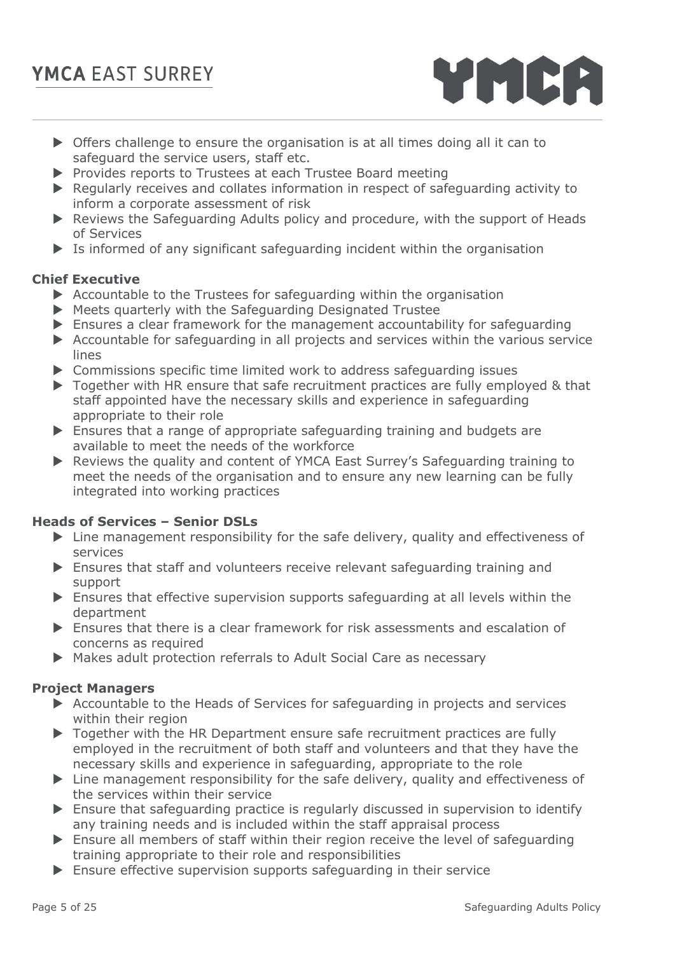- Offers challenge to ensure the organisation is at all times doing all it can to safeguard the service users, staff etc.
- **Provides reports to Trustees at each Trustee Board meeting**
- Regularly receives and collates information in respect of safeguarding activity to inform a corporate assessment of risk
- ▶ Reviews the Safeguarding Adults policy and procedure, with the support of Heads of Services
- Is informed of any significant safeguarding incident within the organisation

## **Chief Executive**

- $\triangleright$  Accountable to the Trustees for safeguarding within the organisation
- Meets quarterly with the Safeguarding Designated Trustee
- Ensures a clear framework for the management accountability for safeguarding
- Accountable for safeguarding in all projects and services within the various service lines
- Commissions specific time limited work to address safeguarding issues
- ▶ Together with HR ensure that safe recruitment practices are fully employed & that staff appointed have the necessary skills and experience in safeguarding appropriate to their role
- Ensures that a range of appropriate safeguarding training and budgets are available to meet the needs of the workforce
- Reviews the quality and content of YMCA East Surrey's Safeguarding training to meet the needs of the organisation and to ensure any new learning can be fully integrated into working practices

## **Heads of Services – Senior DSLs**

- $\blacktriangleright$  Line management responsibility for the safe delivery, quality and effectiveness of services
- Ensures that staff and volunteers receive relevant safeguarding training and support
- Ensures that effective supervision supports safeguarding at all levels within the department
- Ensures that there is a clear framework for risk assessments and escalation of concerns as required
- Makes adult protection referrals to Adult Social Care as necessary

#### **Project Managers**

- Accountable to the Heads of Services for safeguarding in projects and services within their region
- ▶ Together with the HR Department ensure safe recruitment practices are fully employed in the recruitment of both staff and volunteers and that they have the necessary skills and experience in safeguarding, appropriate to the role
- $\triangleright$  Line management responsibility for the safe delivery, quality and effectiveness of the services within their service
- Ensure that safeguarding practice is regularly discussed in supervision to identify any training needs and is included within the staff appraisal process
- $\blacktriangleright$  Ensure all members of staff within their region receive the level of safeguarding training appropriate to their role and responsibilities
- Ensure effective supervision supports safeguarding in their service

YMCA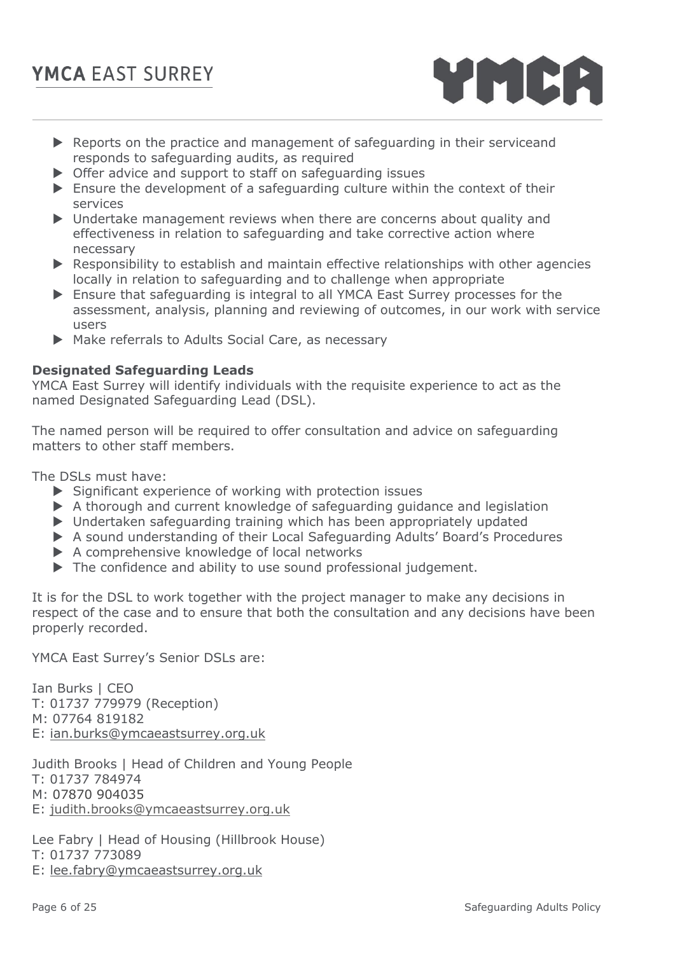- Reports on the practice and management of safeguarding in their serviceand responds to safeguarding audits, as required
- ▶ Offer advice and support to staff on safeguarding issues
- Ensure the development of a safeguarding culture within the context of their services
- $\triangleright$  Undertake management reviews when there are concerns about quality and effectiveness in relation to safeguarding and take corrective action where necessary
- $\blacktriangleright$  Responsibility to establish and maintain effective relationships with other agencies locally in relation to safeguarding and to challenge when appropriate
- Ensure that safeguarding is integral to all YMCA East Surrey processes for the assessment, analysis, planning and reviewing of outcomes, in our work with service users
- Make referrals to Adults Social Care, as necessary

## **Designated Safeguarding Leads**

YMCA East Surrey will identify individuals with the requisite experience to act as the named Designated Safeguarding Lead (DSL).

The named person will be required to offer consultation and advice on safeguarding matters to other staff members.

The DSLs must have:

- $\triangleright$  Significant experience of working with protection issues
- A thorough and current knowledge of safeguarding guidance and legislation
- Undertaken safeguarding training which has been appropriately updated
- A sound understanding of their Local Safeguarding Adults' Board's Procedures
- A comprehensive knowledge of local networks
- The confidence and ability to use sound professional judgement.

It is for the DSL to work together with the project manager to make any decisions in respect of the case and to ensure that both the consultation and any decisions have been properly recorded.

YMCA East Surrey's Senior DSLs are:

Ian Burks | CEO T: 01737 779979 (Reception) M: 07764 819182 E: [ian.burks@ymcaeastsurrey.org.uk](mailto:ian.burks@ymcaeastsurrey.org.uk)

Judith Brooks | Head of Children and Young People T: 01737 784974 M: 07870 904035 E: [judith.brooks@ymcaeastsurrey.org.uk](mailto:judith.brooks@ymcaeastsurrey.org.uk)

Lee Fabry | Head of Housing (Hillbrook House) T: 01737 773089 E: [lee.fabry@ymcaeastsurrey.org.uk](mailto:lee.fabry@ymcaeastsurrey.org.uk)

YMCA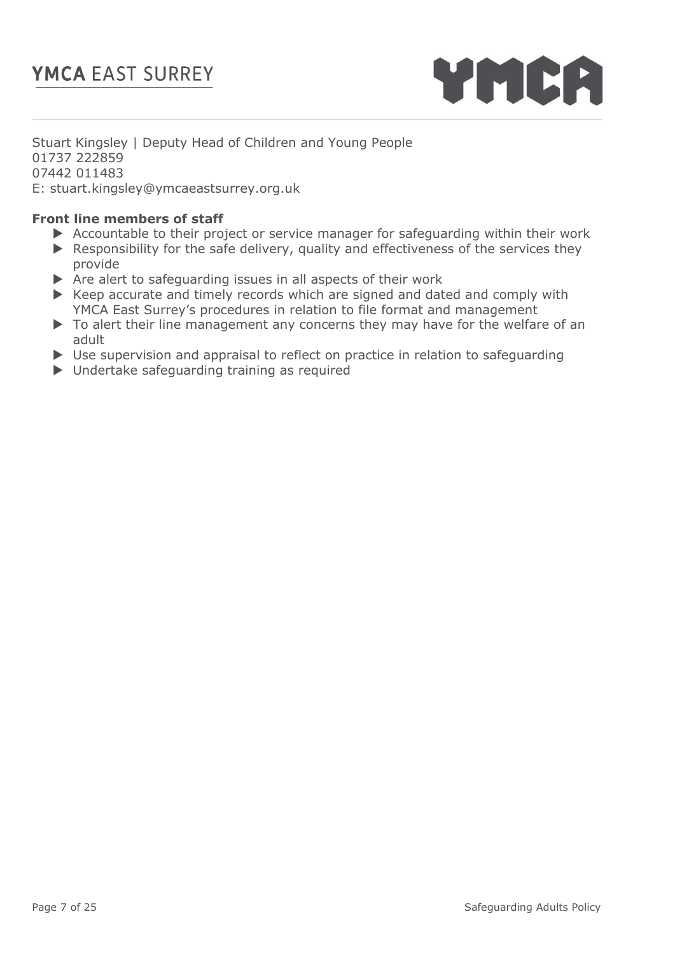

Stuart Kingsley | Deputy Head of Children and Young People 01737 222859 07442 011483 E: stuart.kingsley@ymcaeastsurrey.org.uk

## **Front line members of staff**

- Accountable to their project or service manager for safeguarding within their work
- Responsibility for the safe delivery, quality and effectiveness of the services they provide
- $\triangleright$  Are alert to safeguarding issues in all aspects of their work
- $\triangleright$  Keep accurate and timely records which are signed and dated and comply with YMCA East Surrey's procedures in relation to file format and management
- ▶ To alert their line management any concerns they may have for the welfare of an adult
- ▶ Use supervision and appraisal to reflect on practice in relation to safeguarding
- ▶ Undertake safeguarding training as required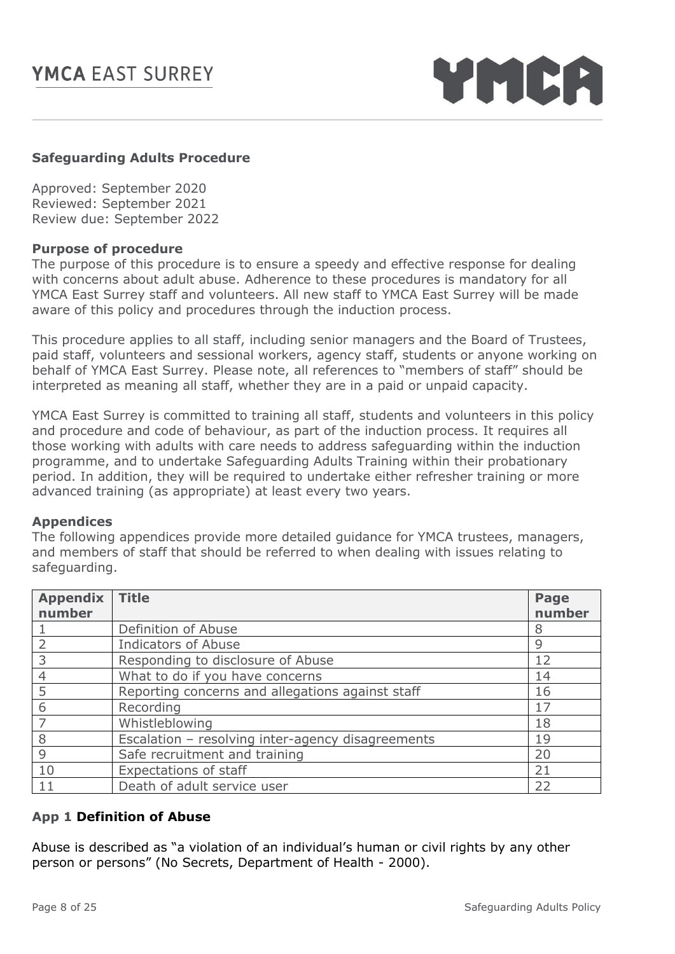YMCA

## **Safeguarding Adults Procedure**

Approved: September 2020 Reviewed: September 2021 Review due: September 2022

## **Purpose of procedure**

The purpose of this procedure is to ensure a speedy and effective response for dealing with concerns about adult abuse. Adherence to these procedures is mandatory for all YMCA East Surrey staff and volunteers. All new staff to YMCA East Surrey will be made aware of this policy and procedures through the induction process.

This procedure applies to all staff, including senior managers and the Board of Trustees, paid staff, volunteers and sessional workers, agency staff, students or anyone working on behalf of YMCA East Surrey. Please note, all references to "members of staff" should be interpreted as meaning all staff, whether they are in a paid or unpaid capacity.

YMCA East Surrey is committed to training all staff, students and volunteers in this policy and procedure and code of behaviour, as part of the induction process. It requires all those working with adults with care needs to address safeguarding within the induction programme, and to undertake Safeguarding Adults Training within their probationary period. In addition, they will be required to undertake either refresher training or more advanced training (as appropriate) at least every two years.

## **Appendices**

The following appendices provide more detailed guidance for YMCA trustees, managers, and members of staff that should be referred to when dealing with issues relating to safeguarding.

| <b>Appendix</b><br>number | <b>Title</b>                                      | Page<br>number |
|---------------------------|---------------------------------------------------|----------------|
|                           | Definition of Abuse                               | 8              |
|                           | <b>Indicators of Abuse</b>                        | 9              |
| 3                         | Responding to disclosure of Abuse                 | 12             |
| 4                         | What to do if you have concerns                   | 14             |
| 5                         | Reporting concerns and allegations against staff  | 16             |
| 6                         | Recording                                         | 17             |
|                           | Whistleblowing                                    | 18             |
| 8                         | Escalation - resolving inter-agency disagreements | 19             |
| 9                         | Safe recruitment and training                     | 20             |
| 10                        | <b>Expectations of staff</b>                      | 21             |
| 11                        | Death of adult service user                       | 22             |

## **App 1 Definition of Abuse**

Abuse is described as "a violation of an individual's human or civil rights by any other person or persons" (No Secrets, Department of Health - 2000).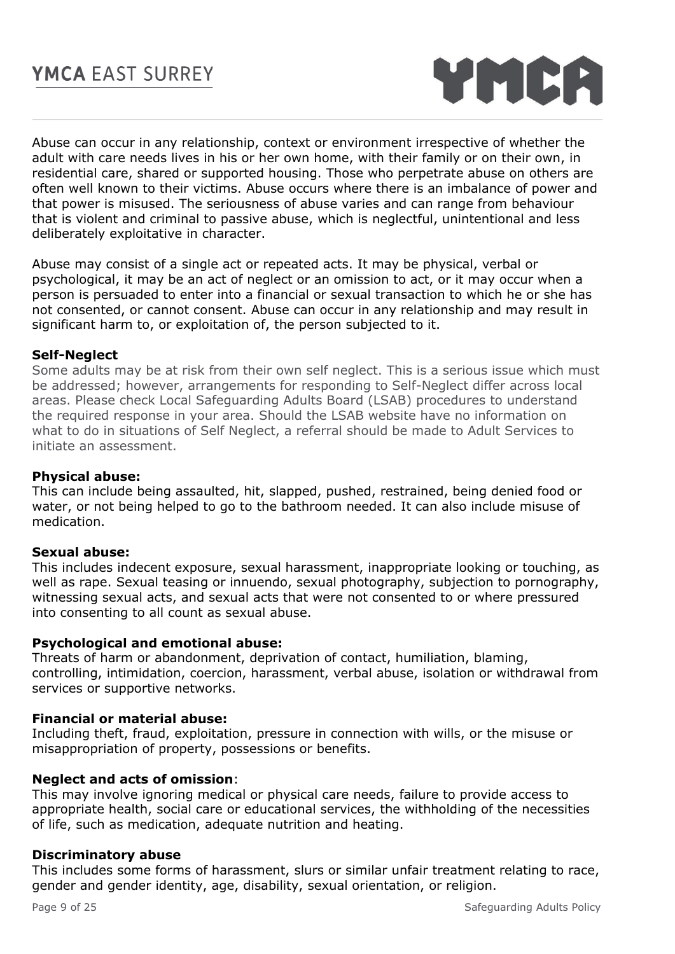

Abuse can occur in any relationship, context or environment irrespective of whether the adult with care needs lives in his or her own home, with their family or on their own, in residential care, shared or supported housing. Those who perpetrate abuse on others are often well known to their victims. Abuse occurs where there is an imbalance of power and that power is misused. The seriousness of abuse varies and can range from behaviour that is violent and criminal to passive abuse, which is neglectful, unintentional and less deliberately exploitative in character.

Abuse may consist of a single act or repeated acts. It may be physical, verbal or psychological, it may be an act of neglect or an omission to act, or it may occur when a person is persuaded to enter into a financial or sexual transaction to which he or she has not consented, or cannot consent. Abuse can occur in any relationship and may result in significant harm to, or exploitation of, the person subjected to it.

## **Self-Neglect**

Some adults may be at risk from their own self neglect. This is a serious issue which must be addressed; however, arrangements for responding to Self-Neglect differ across local areas. Please check Local Safeguarding Adults Board (LSAB) procedures to understand the required response in your area. Should the LSAB website have no information on what to do in situations of Self Neglect, a referral should be made to Adult Services to initiate an assessment.

#### **Physical abuse:**

This can include being assaulted, hit, slapped, pushed, restrained, being denied food or water, or not being helped to go to the bathroom needed. It can also include misuse of medication.

#### **Sexual abuse:**

This includes indecent exposure, sexual harassment, inappropriate looking or touching, as well as rape. Sexual teasing or innuendo, sexual photography, subjection to pornography, witnessing sexual acts, and sexual acts that were not consented to or where pressured into consenting to all count as sexual abuse.

#### **Psychological and emotional abuse:**

Threats of harm or abandonment, deprivation of contact, humiliation, blaming, controlling, intimidation, coercion, harassment, verbal abuse, isolation or withdrawal from services or supportive networks.

## **Financial or material abuse:**

Including theft, fraud, exploitation, pressure in connection with wills, or the misuse or misappropriation of property, possessions or benefits.

#### **Neglect and acts of omission**:

This may involve ignoring medical or physical care needs, failure to provide access to appropriate health, social care or educational services, the withholding of the necessities of life, such as medication, adequate nutrition and heating.

#### **Discriminatory abuse**

This includes some forms of harassment, slurs or similar unfair treatment relating to race, gender and gender identity, age, disability, sexual orientation, or religion.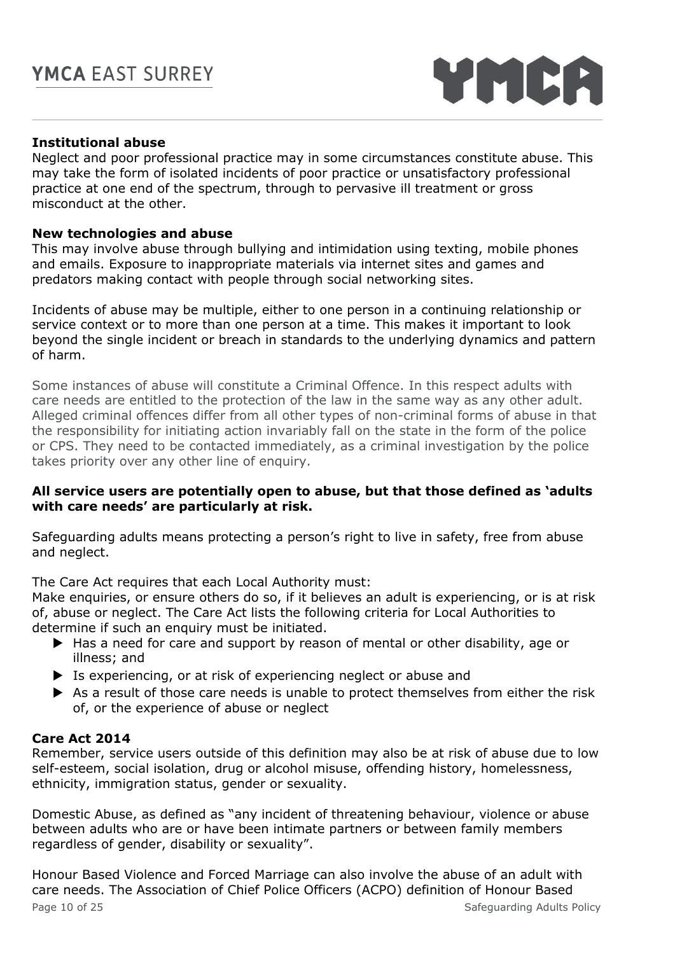YMCA

## **Institutional abuse**

Neglect and poor professional practice may in some circumstances constitute abuse. This may take the form of isolated incidents of poor practice or unsatisfactory professional practice at one end of the spectrum, through to pervasive ill treatment or gross misconduct at the other.

## **New technologies and abuse**

This may involve abuse through bullying and intimidation using texting, mobile phones and emails. Exposure to inappropriate materials via internet sites and games and predators making contact with people through social networking sites.

Incidents of abuse may be multiple, either to one person in a continuing relationship or service context or to more than one person at a time. This makes it important to look beyond the single incident or breach in standards to the underlying dynamics and pattern of harm.

Some instances of abuse will constitute a Criminal Offence. In this respect adults with care needs are entitled to the protection of the law in the same way as any other adult. Alleged criminal offences differ from all other types of non-criminal forms of abuse in that the responsibility for initiating action invariably fall on the state in the form of the police or CPS. They need to be contacted immediately, as a criminal investigation by the police takes priority over any other line of enquiry.

## **All service users are potentially open to abuse, but that those defined as 'adults with care needs' are particularly at risk.**

Safeguarding adults means protecting a person's right to live in safety, free from abuse and neglect.

The Care Act requires that each Local Authority must:

Make enquiries, or ensure others do so, if it believes an adult is experiencing, or is at risk of, abuse or neglect. The Care Act lists the following criteria for Local Authorities to determine if such an enquiry must be initiated.

- ▶ Has a need for care and support by reason of mental or other disability, age or illness; and
- Is experiencing, or at risk of experiencing neglect or abuse and
- As a result of those care needs is unable to protect themselves from either the risk of, or the experience of abuse or neglect

## **Care Act 2014**

Remember, service users outside of this definition may also be at risk of abuse due to low self-esteem, social isolation, drug or alcohol misuse, offending history, homelessness, ethnicity, immigration status, gender or sexuality.

Domestic Abuse, as defined as "any incident of threatening behaviour, violence or abuse between adults who are or have been intimate partners or between family members regardless of gender, disability or sexuality".

Page 10 of 25 Safeguarding Adults Policy Honour Based Violence and Forced Marriage can also involve the abuse of an adult with care needs. The Association of Chief Police Officers (ACPO) definition of Honour Based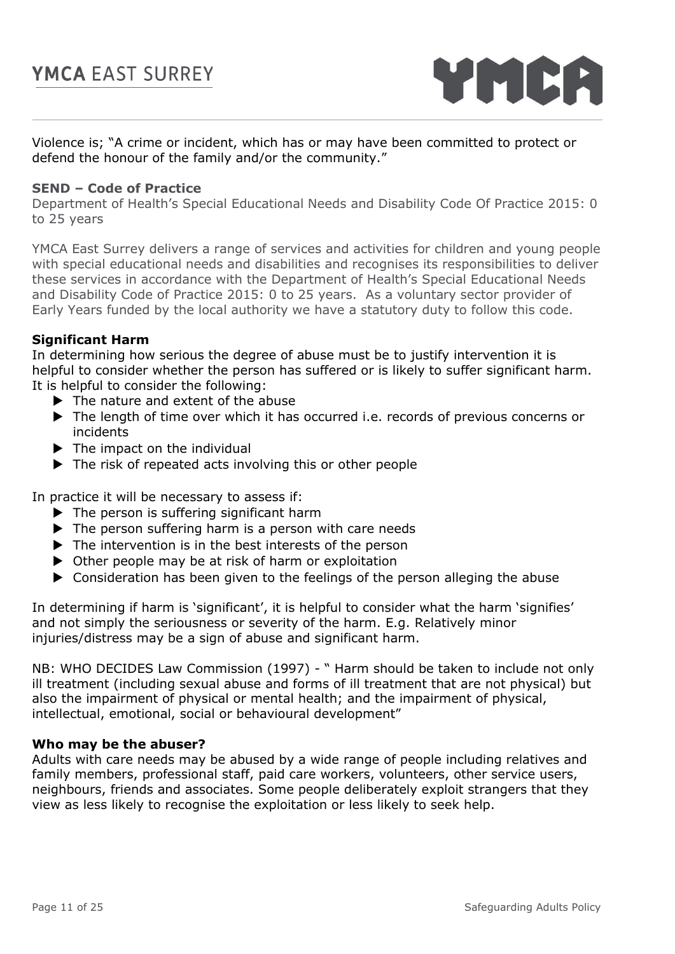

Violence is; "A crime or incident, which has or may have been committed to protect or defend the honour of the family and/or the community."

#### **SEND – Code of Practice**

Department of Health's Special Educational Needs and Disability Code Of Practice 2015: 0 to 25 years

YMCA East Surrey delivers a range of services and activities for children and young people with special educational needs and disabilities and recognises its responsibilities to deliver these services in accordance with the Department of Health's Special Educational Needs and Disability Code of Practice 2015: 0 to 25 years. As a voluntary sector provider of Early Years funded by the local authority we have a statutory duty to follow this code.

#### **Significant Harm**

In determining how serious the degree of abuse must be to justify intervention it is helpful to consider whether the person has suffered or is likely to suffer significant harm. It is helpful to consider the following:

- $\blacktriangleright$  The nature and extent of the abuse
- ▶ The length of time over which it has occurred i.e. records of previous concerns or incidents
- $\blacktriangleright$  The impact on the individual
- ▶ The risk of repeated acts involving this or other people

In practice it will be necessary to assess if:

- $\blacktriangleright$  The person is suffering significant harm
- $\blacktriangleright$  The person suffering harm is a person with care needs
- $\blacktriangleright$  The intervention is in the best interests of the person
- ▶ Other people may be at risk of harm or exploitation
- Consideration has been given to the feelings of the person alleging the abuse

In determining if harm is 'significant', it is helpful to consider what the harm 'signifies' and not simply the seriousness or severity of the harm. E.g. Relatively minor injuries/distress may be a sign of abuse and significant harm.

NB: WHO DECIDES Law Commission (1997) - " Harm should be taken to include not only ill treatment (including sexual abuse and forms of ill treatment that are not physical) but also the impairment of physical or mental health; and the impairment of physical, intellectual, emotional, social or behavioural development"

#### **Who may be the abuser?**

Adults with care needs may be abused by a wide range of people including relatives and family members, professional staff, paid care workers, volunteers, other service users, neighbours, friends and associates. Some people deliberately exploit strangers that they view as less likely to recognise the exploitation or less likely to seek help.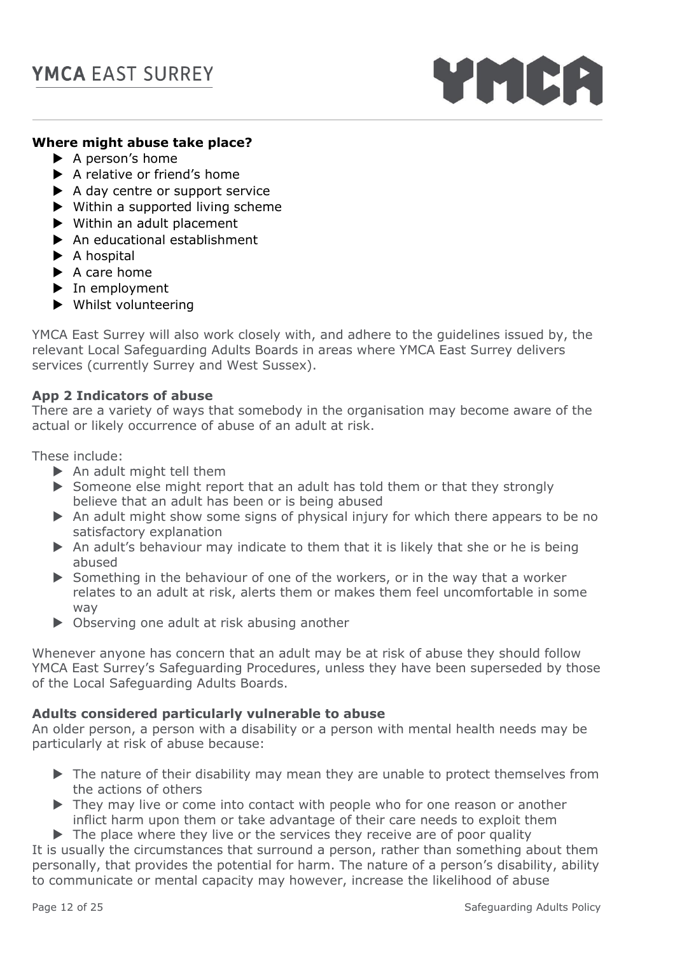

## **Where might abuse take place?**

- $\blacktriangleright$  A person's home
- $\blacktriangleright$  A relative or friend's home
- A day centre or support service
- $\blacktriangleright$  Within a supported living scheme
- Within an adult placement
- ▶ An educational establishment
- $\blacktriangleright$  A hospital
- $\blacktriangleright$  A care home
- $\blacktriangleright$  In employment
- Whilst volunteering

YMCA East Surrey will also work closely with, and adhere to the guidelines issued by, the relevant Local Safeguarding Adults Boards in areas where YMCA East Surrey delivers services (currently Surrey and West Sussex).

### **App 2 Indicators of abuse**

There are a variety of ways that somebody in the organisation may become aware of the actual or likely occurrence of abuse of an adult at risk.

These include:

- $\blacktriangleright$  An adult might tell them
- $\triangleright$  Someone else might report that an adult has told them or that they strongly believe that an adult has been or is being abused
- An adult might show some signs of physical injury for which there appears to be no satisfactory explanation
- An adult's behaviour may indicate to them that it is likely that she or he is being abused
- Something in the behaviour of one of the workers, or in the way that a worker relates to an adult at risk, alerts them or makes them feel uncomfortable in some way
- ▶ Observing one adult at risk abusing another

Whenever anyone has concern that an adult may be at risk of abuse they should follow YMCA East Surrey's Safeguarding Procedures, unless they have been superseded by those of the Local Safeguarding Adults Boards.

### **Adults considered particularly vulnerable to abuse**

An older person, a person with a disability or a person with mental health needs may be particularly at risk of abuse because:

- ▶ The nature of their disability may mean they are unable to protect themselves from the actions of others
- ▶ They may live or come into contact with people who for one reason or another inflict harm upon them or take advantage of their care needs to exploit them
- $\triangleright$  The place where they live or the services they receive are of poor quality

It is usually the circumstances that surround a person, rather than something about them personally, that provides the potential for harm. The nature of a person's disability, ability to communicate or mental capacity may however, increase the likelihood of abuse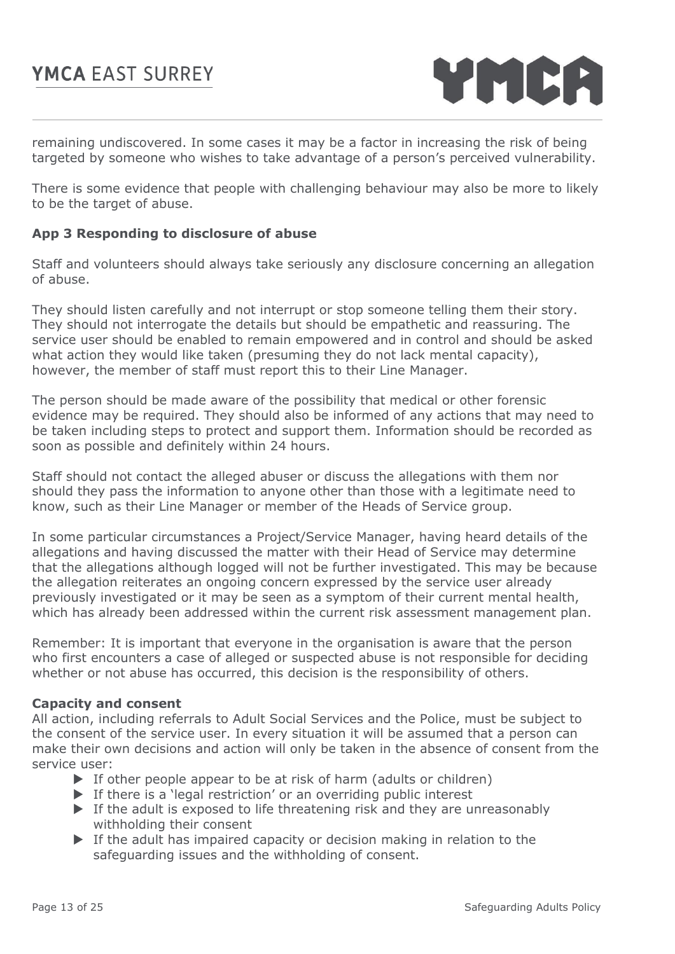

remaining undiscovered. In some cases it may be a factor in increasing the risk of being targeted by someone who wishes to take advantage of a person's perceived vulnerability.

There is some evidence that people with challenging behaviour may also be more to likely to be the target of abuse.

## **App 3 Responding to disclosure of abuse**

Staff and volunteers should always take seriously any disclosure concerning an allegation of abuse.

They should listen carefully and not interrupt or stop someone telling them their story. They should not interrogate the details but should be empathetic and reassuring. The service user should be enabled to remain empowered and in control and should be asked what action they would like taken (presuming they do not lack mental capacity), however, the member of staff must report this to their Line Manager.

The person should be made aware of the possibility that medical or other forensic evidence may be required. They should also be informed of any actions that may need to be taken including steps to protect and support them. Information should be recorded as soon as possible and definitely within 24 hours.

Staff should not contact the alleged abuser or discuss the allegations with them nor should they pass the information to anyone other than those with a legitimate need to know, such as their Line Manager or member of the Heads of Service group.

In some particular circumstances a Project/Service Manager, having heard details of the allegations and having discussed the matter with their Head of Service may determine that the allegations although logged will not be further investigated. This may be because the allegation reiterates an ongoing concern expressed by the service user already previously investigated or it may be seen as a symptom of their current mental health, which has already been addressed within the current risk assessment management plan.

Remember: It is important that everyone in the organisation is aware that the person who first encounters a case of alleged or suspected abuse is not responsible for deciding whether or not abuse has occurred, this decision is the responsibility of others.

#### **Capacity and consent**

All action, including referrals to Adult Social Services and the Police, must be subject to the consent of the service user. In every situation it will be assumed that a person can make their own decisions and action will only be taken in the absence of consent from the service user:

- $\triangleright$  If other people appear to be at risk of harm (adults or children)
- $\triangleright$  If there is a 'legal restriction' or an overriding public interest
- $\blacktriangleright$  If the adult is exposed to life threatening risk and they are unreasonably withholding their consent
- If the adult has impaired capacity or decision making in relation to the safeguarding issues and the withholding of consent.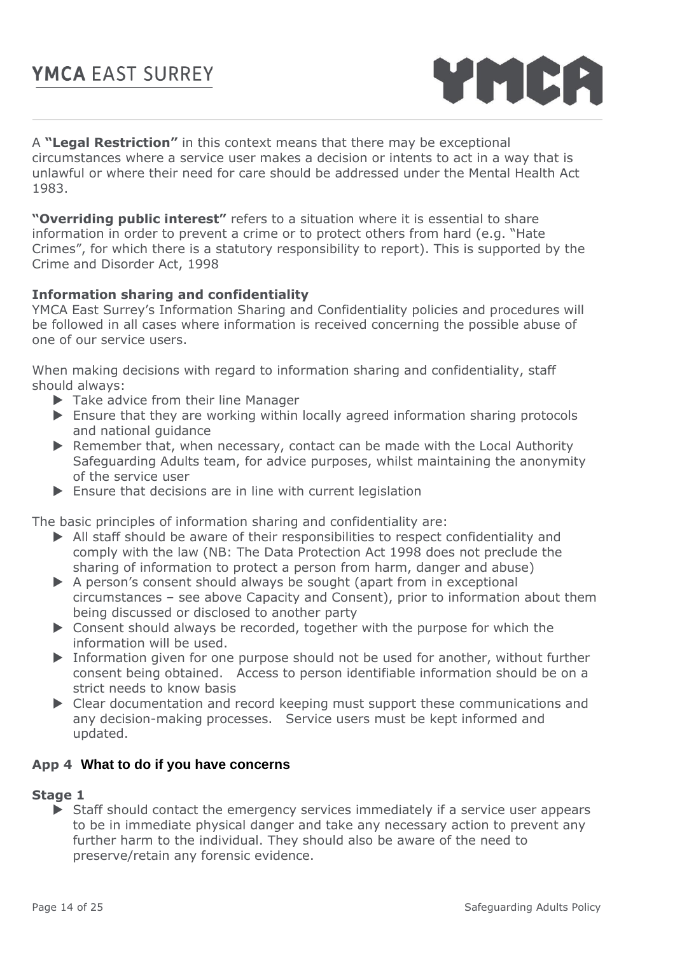

A **"Legal Restriction"** in this context means that there may be exceptional circumstances where a service user makes a decision or intents to act in a way that is unlawful or where their need for care should be addressed under the Mental Health Act 1983.

**"Overriding public interest"** refers to a situation where it is essential to share information in order to prevent a crime or to protect others from hard (e.g. "Hate Crimes", for which there is a statutory responsibility to report). This is supported by the Crime and Disorder Act, 1998

## **Information sharing and confidentiality**

YMCA East Surrey's Information Sharing and Confidentiality policies and procedures will be followed in all cases where information is received concerning the possible abuse of one of our service users.

When making decisions with regard to information sharing and confidentiality, staff should always:

- ▶ Take advice from their line Manager
- Ensure that they are working within locally agreed information sharing protocols and national guidance
- Remember that, when necessary, contact can be made with the Local Authority Safeguarding Adults team, for advice purposes, whilst maintaining the anonymity of the service user
- Ensure that decisions are in line with current legislation

The basic principles of information sharing and confidentiality are:

- All staff should be aware of their responsibilities to respect confidentiality and comply with the law (NB: The Data Protection Act 1998 does not preclude the sharing of information to protect a person from harm, danger and abuse)
- $\triangleright$  A person's consent should always be sought (apart from in exceptional circumstances – see above Capacity and Consent), prior to information about them being discussed or disclosed to another party
- ▶ Consent should always be recorded, together with the purpose for which the information will be used.
- Information given for one purpose should not be used for another, without further consent being obtained. Access to person identifiable information should be on a strict needs to know basis
- Clear documentation and record keeping must support these communications and any decision-making processes. Service users must be kept informed and updated.

## **App 4 What to do if you have concerns**

#### **Stage 1**

 Staff should contact the emergency services immediately if a service user appears to be in immediate physical danger and take any necessary action to prevent any further harm to the individual. They should also be aware of the need to preserve/retain any forensic evidence.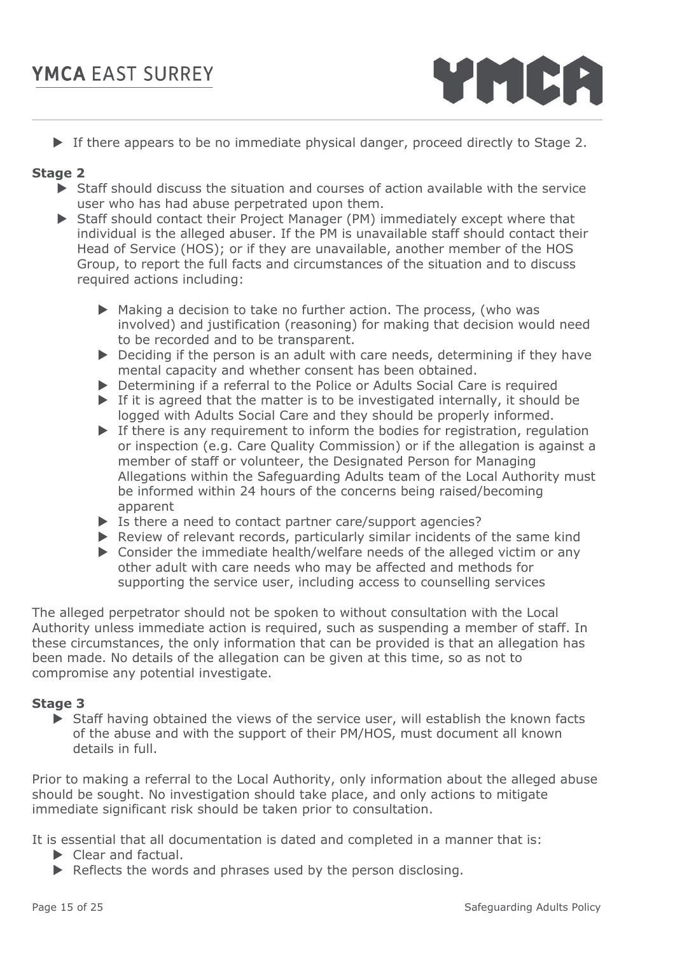

If there appears to be no immediate physical danger, proceed directly to Stage 2.

## **Stage 2**

- $\triangleright$  Staff should discuss the situation and courses of action available with the service user who has had abuse perpetrated upon them.
- Staff should contact their Project Manager (PM) immediately except where that individual is the alleged abuser. If the PM is unavailable staff should contact their Head of Service (HOS); or if they are unavailable, another member of the HOS Group, to report the full facts and circumstances of the situation and to discuss required actions including:
	- Making a decision to take no further action. The process, (who was involved) and justification (reasoning) for making that decision would need to be recorded and to be transparent.
	- ▶ Deciding if the person is an adult with care needs, determining if they have mental capacity and whether consent has been obtained.
	- Determining if a referral to the Police or Adults Social Care is required
	- If it is agreed that the matter is to be investigated internally, it should be logged with Adults Social Care and they should be properly informed.
	- $\blacktriangleright$  If there is any requirement to inform the bodies for registration, regulation or inspection (e.g. Care Quality Commission) or if the allegation is against a member of staff or volunteer, the Designated Person for Managing Allegations within the Safeguarding Adults team of the Local Authority must be informed within 24 hours of the concerns being raised/becoming apparent
	- Is there a need to contact partner care/support agencies?
	- Review of relevant records, particularly similar incidents of the same kind
	- ▶ Consider the immediate health/welfare needs of the alleged victim or any other adult with care needs who may be affected and methods for supporting the service user, including access to counselling services

The alleged perpetrator should not be spoken to without consultation with the Local Authority unless immediate action is required, such as suspending a member of staff. In these circumstances, the only information that can be provided is that an allegation has been made. No details of the allegation can be given at this time, so as not to compromise any potential investigate.

## **Stage 3**

 Staff having obtained the views of the service user, will establish the known facts of the abuse and with the support of their PM/HOS, must document all known details in full.

Prior to making a referral to the Local Authority, only information about the alleged abuse should be sought. No investigation should take place, and only actions to mitigate immediate significant risk should be taken prior to consultation.

It is essential that all documentation is dated and completed in a manner that is:

- Clear and factual.
- $\triangleright$  Reflects the words and phrases used by the person disclosing.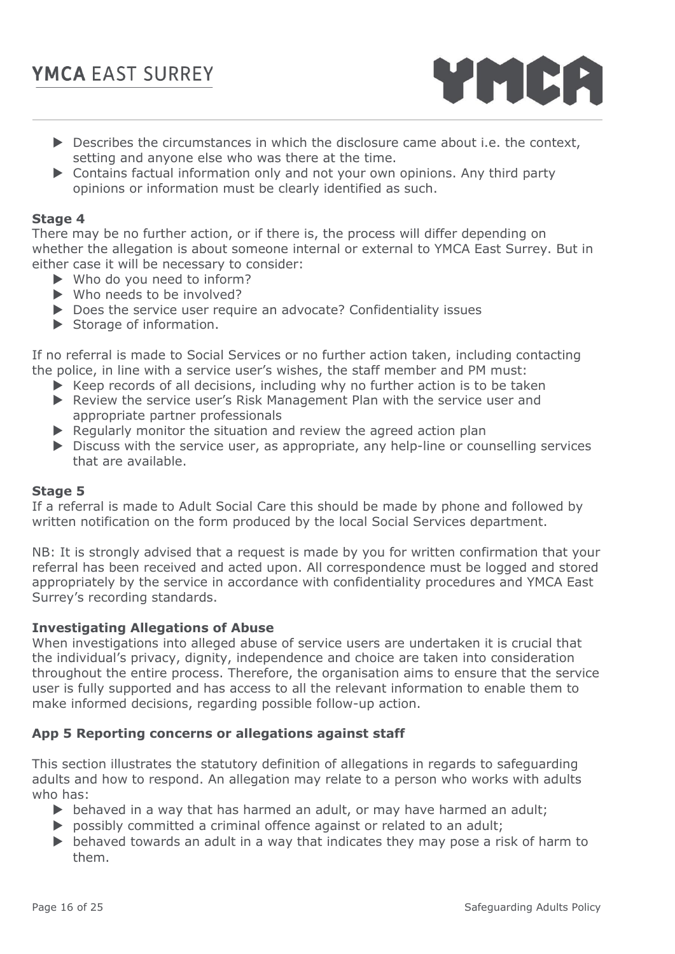

- $\triangleright$  Describes the circumstances in which the disclosure came about i.e. the context, setting and anyone else who was there at the time.
- Contains factual information only and not your own opinions. Any third party opinions or information must be clearly identified as such.

## **Stage 4**

There may be no further action, or if there is, the process will differ depending on whether the allegation is about someone internal or external to YMCA East Surrey. But in either case it will be necessary to consider:

- ▶ Who do you need to inform?
- $\blacktriangleright$  Who needs to be involved?
- ▶ Does the service user require an advocate? Confidentiality issues
- $\blacktriangleright$  Storage of information.

If no referral is made to Social Services or no further action taken, including contacting the police, in line with a service user's wishes, the staff member and PM must:

- $\blacktriangleright$  Keep records of all decisions, including why no further action is to be taken
- Review the service user's Risk Management Plan with the service user and appropriate partner professionals
- $\blacktriangleright$  Regularly monitor the situation and review the agreed action plan
- $\triangleright$  Discuss with the service user, as appropriate, any help-line or counselling services that are available.

#### **Stage 5**

If a referral is made to Adult Social Care this should be made by phone and followed by written notification on the form produced by the local Social Services department.

NB: It is strongly advised that a request is made by you for written confirmation that your referral has been received and acted upon. All correspondence must be logged and stored appropriately by the service in accordance with confidentiality procedures and YMCA East Surrey's recording standards.

#### **Investigating Allegations of Abuse**

When investigations into alleged abuse of service users are undertaken it is crucial that the individual's privacy, dignity, independence and choice are taken into consideration throughout the entire process. Therefore, the organisation aims to ensure that the service user is fully supported and has access to all the relevant information to enable them to make informed decisions, regarding possible follow-up action.

## **App 5 Reporting concerns or allegations against staff**

This section illustrates the statutory definition of allegations in regards to safeguarding adults and how to respond. An allegation may relate to a person who works with adults who has:

- $\triangleright$  behaved in a way that has harmed an adult, or may have harmed an adult;
- **P** possibly committed a criminal offence against or related to an adult;
- $\triangleright$  behaved towards an adult in a way that indicates they may pose a risk of harm to them.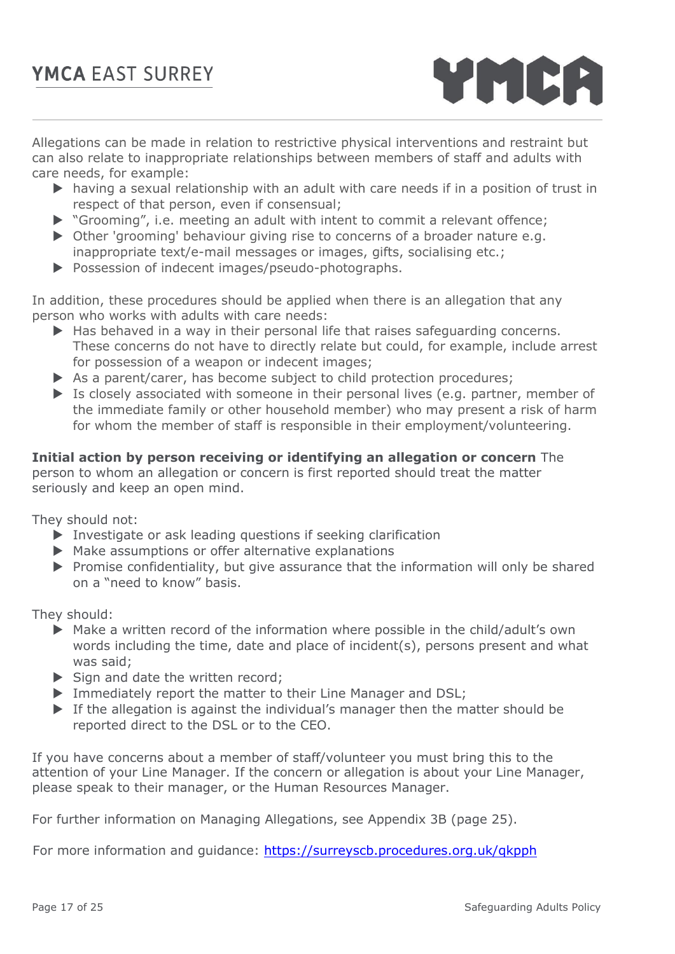

Allegations can be made in relation to restrictive physical interventions and restraint but can also relate to inappropriate relationships between members of staff and adults with care needs, for example:

- having a sexual relationship with an adult with care needs if in a position of trust in respect of that person, even if consensual;
- "Grooming", i.e. meeting an adult with intent to commit a relevant offence;
- ▶ Other 'grooming' behaviour giving rise to concerns of a broader nature e.g. inappropriate text/e-mail messages or images, gifts, socialising etc.;
- Possession of indecent images/pseudo-photographs.

In addition, these procedures should be applied when there is an allegation that any person who works with adults with care needs:

- $\blacktriangleright$  Has behaved in a way in their personal life that raises safeguarding concerns. These concerns do not have to directly relate but could, for example, include arrest for possession of a weapon or indecent images;
- As a parent/carer, has become subject to child protection procedures;
- Is closely associated with someone in their personal lives (e.g. partner, member of the immediate family or other household member) who may present a risk of harm for whom the member of staff is responsible in their employment/volunteering.

**Initial action by person receiving or identifying an allegation or concern** The person to whom an allegation or concern is first reported should treat the matter seriously and keep an open mind.

They should not:

- Investigate or ask leading questions if seeking clarification
- Make assumptions or offer alternative explanations
- $\triangleright$  Promise confidentiality, but give assurance that the information will only be shared on a "need to know" basis.

They should:

- Make a written record of the information where possible in the child/adult's own words including the time, date and place of incident(s), persons present and what was said;
- $\triangleright$  Sign and date the written record;
- Immediately report the matter to their Line Manager and DSL;
- If the allegation is against the individual's manager then the matter should be reported direct to the DSL or to the CEO.

If you have concerns about a member of staff/volunteer you must bring this to the attention of your Line Manager. If the concern or allegation is about your Line Manager, please speak to their manager, or the Human Resources Manager.

For further information on Managing Allegations, see Appendix 3B (page 25).

For more information and guidance: https://surreyscb.procedures.org.uk/qkpph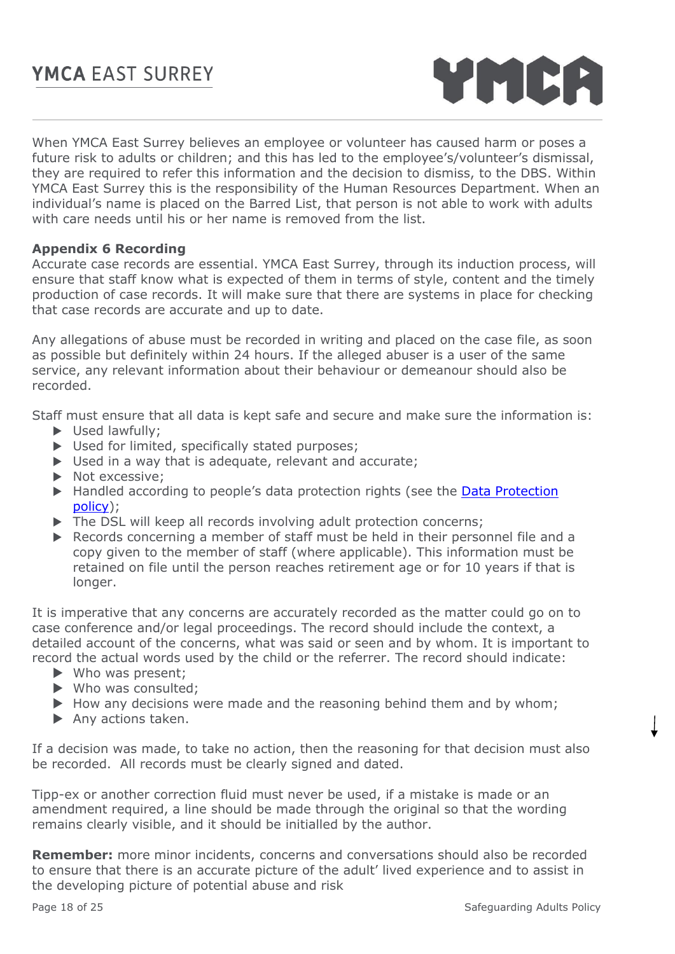

When YMCA East Surrey believes an employee or volunteer has caused harm or poses a future risk to adults or children; and this has led to the employee's/volunteer's dismissal, they are required to refer this information and the decision to dismiss, to the DBS. Within YMCA East Surrey this is the responsibility of the Human Resources Department. When an individual's name is placed on the Barred List, that person is not able to work with adults with care needs until his or her name is removed from the list.

## **Appendix 6 Recording**

Accurate case records are essential. YMCA East Surrey, through its induction process, will ensure that staff know what is expected of them in terms of style, content and the timely production of case records. It will make sure that there are systems in place for checking that case records are accurate and up to date.

Any allegations of abuse must be recorded in writing and placed on the case file, as soon as possible but definitely within 24 hours. If the alleged abuser is a user of the same service, any relevant information about their behaviour or demeanour should also be recorded.

Staff must ensure that all data is kept safe and secure and make sure the information is:

- Used lawfully;
- Used for limited, specifically stated purposes;
- $\triangleright$  Used in a way that is adequate, relevant and accurate;
- Not excessive;
- ▶ Handled according to people's data protection rights (see the Data Protection [policy\)](file:///G:/AllStaff/Policies,%20Procedures%20and%20Handbooks/IT%20and%20Communications);
- The DSL will keep all records involving adult protection concerns;
- Records concerning a member of staff must be held in their personnel file and a copy given to the member of staff (where applicable). This information must be retained on file until the person reaches retirement age or for 10 years if that is longer.

It is imperative that any concerns are accurately recorded as the matter could go on to case conference and/or legal proceedings. The record should include the context, a detailed account of the concerns, what was said or seen and by whom. It is important to record the actual words used by the child or the referrer. The record should indicate:

- Who was present;
- Who was consulted;
- $\blacktriangleright$  How any decisions were made and the reasoning behind them and by whom;
- Any actions taken.

If a decision was made, to take no action, then the reasoning for that decision must also be recorded. All records must be clearly signed and dated.

Tipp-ex or another correction fluid must never be used, if a mistake is made or an amendment required, a line should be made through the original so that the wording remains clearly visible, and it should be initialled by the author.

**Remember:** more minor incidents, concerns and conversations should also be recorded to ensure that there is an accurate picture of the adult' lived experience and to assist in the developing picture of potential abuse and risk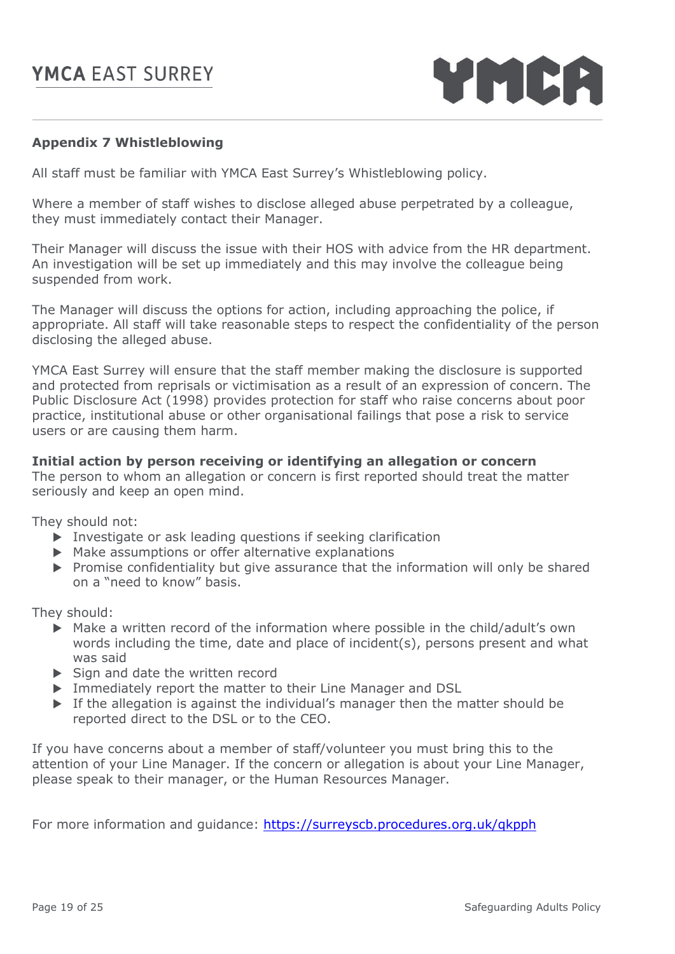YMCA

## **Appendix 7 Whistleblowing**

All staff must be familiar with YMCA East Surrey's Whistleblowing policy.

Where a member of staff wishes to disclose alleged abuse perpetrated by a colleague, they must immediately contact their Manager.

Their Manager will discuss the issue with their HOS with advice from the HR department. An investigation will be set up immediately and this may involve the colleague being suspended from work.

The Manager will discuss the options for action, including approaching the police, if appropriate. All staff will take reasonable steps to respect the confidentiality of the person disclosing the alleged abuse.

YMCA East Surrey will ensure that the staff member making the disclosure is supported and protected from reprisals or victimisation as a result of an expression of concern. The Public Disclosure Act (1998) provides protection for staff who raise concerns about poor practice, institutional abuse or other organisational failings that pose a risk to service users or are causing them harm.

## **Initial action by person receiving or identifying an allegation or concern**

The person to whom an allegation or concern is first reported should treat the matter seriously and keep an open mind.

They should not:

- $\triangleright$  Investigate or ask leading questions if seeking clarification
- $\triangleright$  Make assumptions or offer alternative explanations
- $\triangleright$  Promise confidentiality but give assurance that the information will only be shared on a "need to know" basis.

They should:

- Make a written record of the information where possible in the child/adult's own words including the time, date and place of incident(s), persons present and what was said
- $\triangleright$  Sign and date the written record
- Immediately report the matter to their Line Manager and DSL
- $\triangleright$  If the allegation is against the individual's manager then the matter should be reported direct to the DSL or to the CEO.

If you have concerns about a member of staff/volunteer you must bring this to the attention of your Line Manager. If the concern or allegation is about your Line Manager, please speak to their manager, or the Human Resources Manager.

For more information and guidance:<https://surreyscb.procedures.org.uk/qkpph>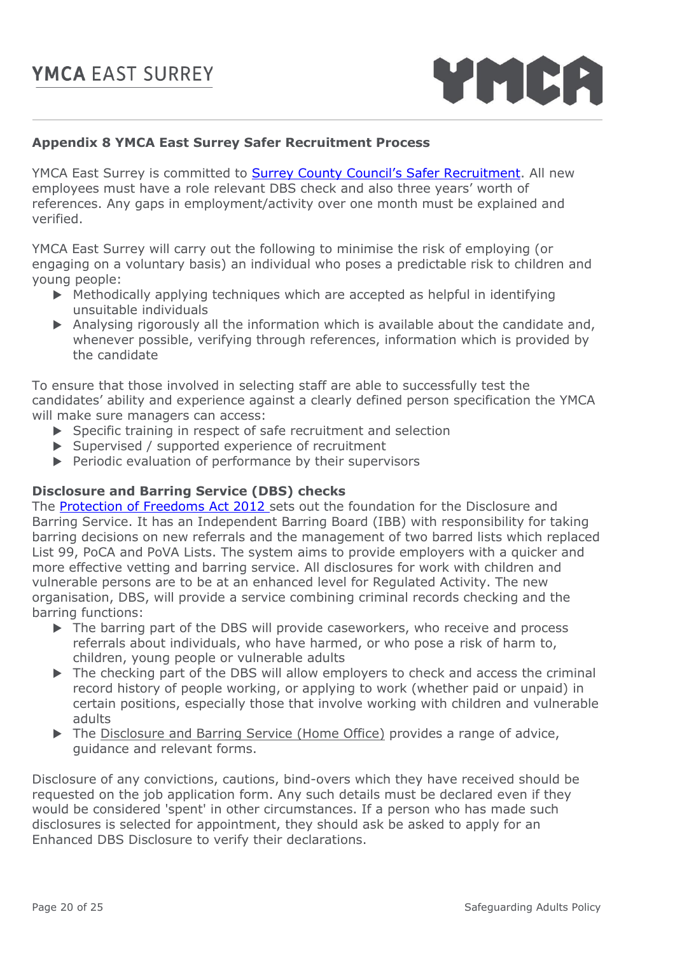

## **Appendix 8 YMCA East Surrey Safer Recruitment Process**

YMCA East Surrey is committed to **[Surrey County Council's Safer Recruitment](https://www.surreycc.gov.uk/__data/assets/pdf_file/0018/43461/Recruitment-and-Selection-Policy-and-Safer-Recruitment-Policies.pdf)**. All new employees must have a role relevant DBS check and also three years' worth of references. Any gaps in employment/activity over one month must be explained and verified.

YMCA East Surrey will carry out the following to minimise the risk of employing (or engaging on a voluntary basis) an individual who poses a predictable risk to children and young people:

- Methodically applying techniques which are accepted as helpful in identifying unsuitable individuals
- Analysing rigorously all the information which is available about the candidate and, whenever possible, verifying through references, information which is provided by the candidate

To ensure that those involved in selecting staff are able to successfully test the candidates' ability and experience against a clearly defined person specification the YMCA will make sure managers can access:

- ▶ Specific training in respect of safe recruitment and selection
- Supervised / supported experience of recruitment
- $\blacktriangleright$  Periodic evaluation of performance by their supervisors

## **Disclosure and Barring Service (DBS) checks**

The [Protection of Freedoms Act 2012](https://www.gov.uk/government/organisations/disclosure-and-barring-service) sets out the foundation for the Disclosure and Barring Service. It has an Independent Barring Board (IBB) with responsibility for taking barring decisions on new referrals and the management of two barred lists which replaced List 99, PoCA and PoVA Lists. The system aims to provide employers with a quicker and more effective vetting and barring service. All disclosures for work with children and vulnerable persons are to be at an enhanced level for Regulated Activity. The new organisation, DBS, will provide a service combining criminal records checking and the barring functions:

- $\triangleright$  The barring part of the DBS will provide caseworkers, who receive and process referrals about individuals, who have harmed, or who pose a risk of harm to, children, young people or vulnerable adults
- $\triangleright$  The checking part of the DBS will allow employers to check and access the criminal record history of people working, or applying to work (whether paid or unpaid) in certain positions, especially those that involve working with children and vulnerable adults
- The [Disclosure and Barring Service \(Home Office\)](https://www.gov.uk/government/organisations/disclosure-and-barring-service) provides a range of advice, guidance and relevant forms.

Disclosure of any convictions, cautions, bind-overs which they have received should be requested on the job application form. Any such details must be declared even if they would be considered 'spent' in other circumstances. If a person who has made such disclosures is selected for appointment, they should ask be asked to apply for an Enhanced DBS Disclosure to verify their declarations.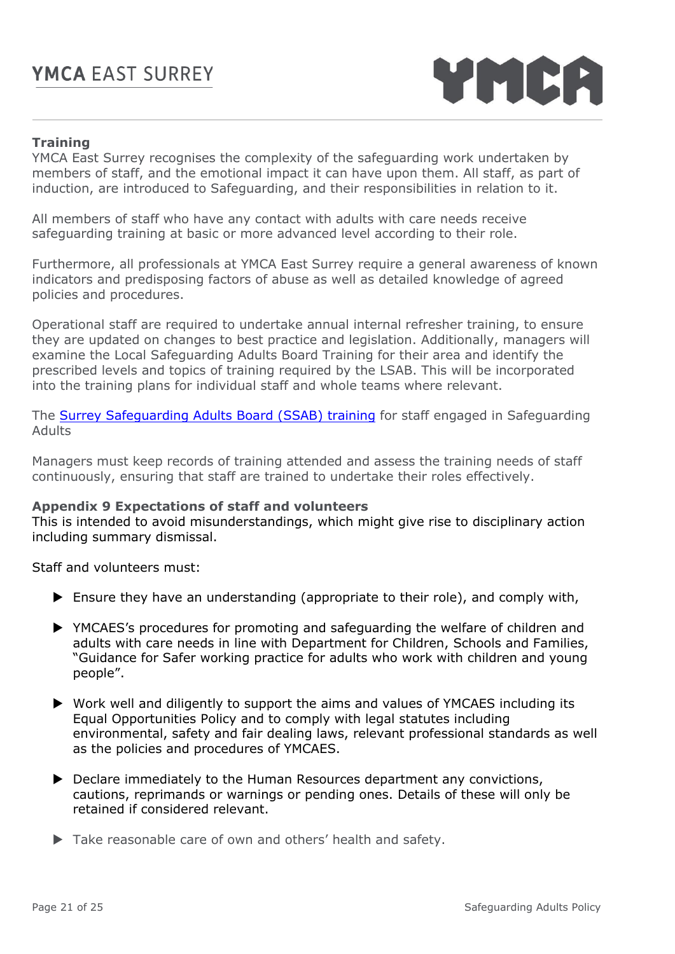

## **Training**

YMCA East Surrey recognises the complexity of the safeguarding work undertaken by members of staff, and the emotional impact it can have upon them. All staff, as part of induction, are introduced to Safeguarding, and their responsibilities in relation to it.

All members of staff who have any contact with adults with care needs receive safeguarding training at basic or more advanced level according to their role.

Furthermore, all professionals at YMCA East Surrey require a general awareness of known indicators and predisposing factors of abuse as well as detailed knowledge of agreed policies and procedures.

Operational staff are required to undertake annual internal refresher training, to ensure they are updated on changes to best practice and legislation. Additionally, managers will examine the Local Safeguarding Adults Board Training for their area and identify the prescribed levels and topics of training required by the LSAB. This will be incorporated into the training plans for individual staff and whole teams where relevant.

The [Surrey Safeguarding Adults Board \(SSAB\) training](https://www.surreysab.org.uk/training/) for staff engaged in Safeguarding Adults

Managers must keep records of training attended and assess the training needs of staff continuously, ensuring that staff are trained to undertake their roles effectively.

#### **Appendix 9 Expectations of staff and volunteers**

This is intended to avoid misunderstandings, which might give rise to disciplinary action including summary dismissal.

Staff and volunteers must:

- Ensure they have an understanding (appropriate to their role), and comply with,
- YMCAES's procedures for promoting and safeguarding the welfare of children and adults with care needs in line with Department for Children, Schools and Families, "Guidance for Safer working practice for adults who work with children and young people".
- Work well and diligently to support the aims and values of YMCAES including its Equal Opportunities Policy and to comply with legal statutes including environmental, safety and fair dealing laws, relevant professional standards as well as the policies and procedures of YMCAES.
- ▶ Declare immediately to the Human Resources department any convictions, cautions, reprimands or warnings or pending ones. Details of these will only be retained if considered relevant.
- Take reasonable care of own and others' health and safety.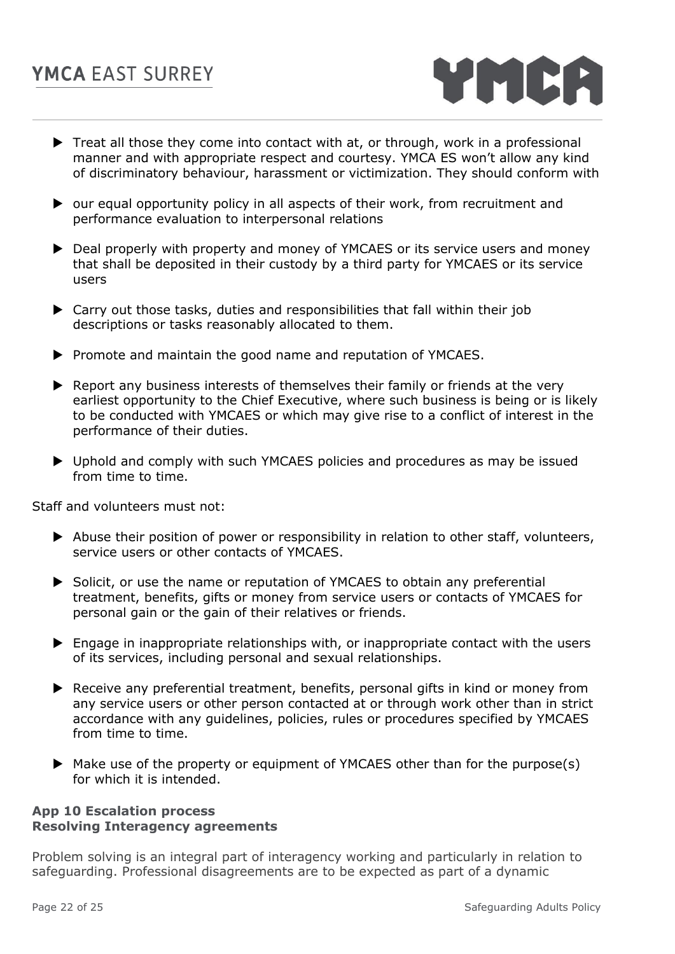

- $\blacktriangleright$  Treat all those they come into contact with at, or through, work in a professional manner and with appropriate respect and courtesy. YMCA ES won't allow any kind of discriminatory behaviour, harassment or victimization. They should conform with
- ▶ our equal opportunity policy in all aspects of their work, from recruitment and performance evaluation to interpersonal relations
- ▶ Deal properly with property and money of YMCAES or its service users and money that shall be deposited in their custody by a third party for YMCAES or its service users
- Carry out those tasks, duties and responsibilities that fall within their job descriptions or tasks reasonably allocated to them.
- **Promote and maintain the good name and reputation of YMCAES.**
- ▶ Report any business interests of themselves their family or friends at the very earliest opportunity to the Chief Executive, where such business is being or is likely to be conducted with YMCAES or which may give rise to a conflict of interest in the performance of their duties.
- ▶ Uphold and comply with such YMCAES policies and procedures as may be issued from time to time.

Staff and volunteers must not:

- Abuse their position of power or responsibility in relation to other staff, volunteers, service users or other contacts of YMCAES.
- Solicit, or use the name or reputation of YMCAES to obtain any preferential treatment, benefits, gifts or money from service users or contacts of YMCAES for personal gain or the gain of their relatives or friends.
- Engage in inappropriate relationships with, or inappropriate contact with the users of its services, including personal and sexual relationships.
- ▶ Receive any preferential treatment, benefits, personal gifts in kind or money from any service users or other person contacted at or through work other than in strict accordance with any guidelines, policies, rules or procedures specified by YMCAES from time to time.
- $\blacktriangleright$  Make use of the property or equipment of YMCAES other than for the purpose(s) for which it is intended.

## **App 10 Escalation process Resolving Interagency agreements**

Problem solving is an integral part of interagency working and particularly in relation to safeguarding. Professional disagreements are to be expected as part of a dynamic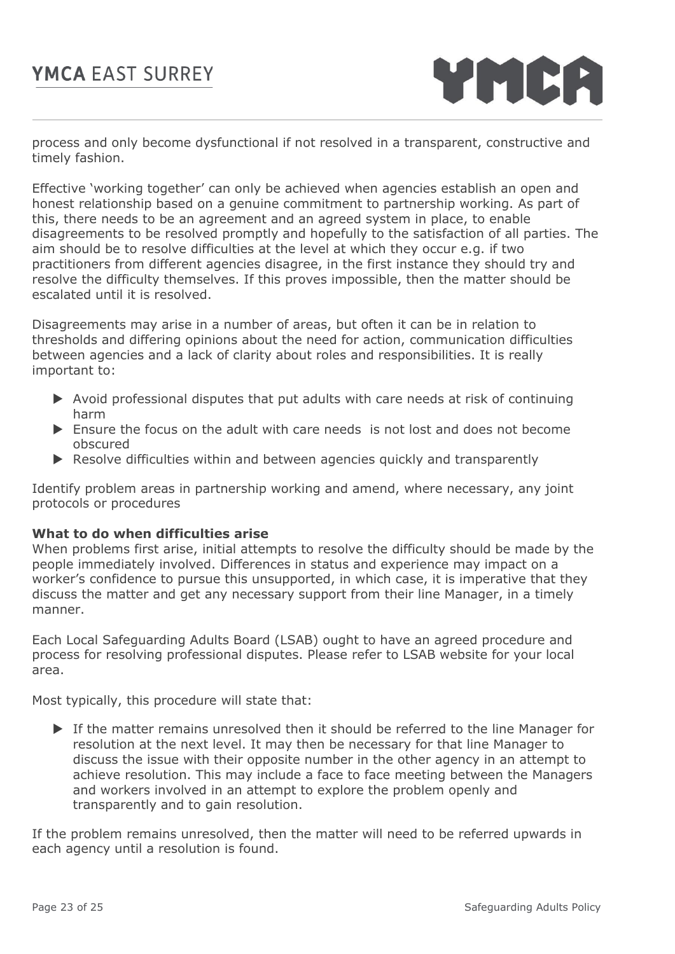

process and only become dysfunctional if not resolved in a transparent, constructive and timely fashion.

Effective 'working together' can only be achieved when agencies establish an open and honest relationship based on a genuine commitment to partnership working. As part of this, there needs to be an agreement and an agreed system in place, to enable disagreements to be resolved promptly and hopefully to the satisfaction of all parties. The aim should be to resolve difficulties at the level at which they occur e.g. if two practitioners from different agencies disagree, in the first instance they should try and resolve the difficulty themselves. If this proves impossible, then the matter should be escalated until it is resolved.

Disagreements may arise in a number of areas, but often it can be in relation to thresholds and differing opinions about the need for action, communication difficulties between agencies and a lack of clarity about roles and responsibilities. It is really important to:

- $\triangleright$  Avoid professional disputes that put adults with care needs at risk of continuing harm
- Ensure the focus on the adult with care needs is not lost and does not become obscured
- $\blacktriangleright$  Resolve difficulties within and between agencies quickly and transparently

Identify problem areas in partnership working and amend, where necessary, any joint protocols or procedures

## **What to do when difficulties arise**

When problems first arise, initial attempts to resolve the difficulty should be made by the people immediately involved. Differences in status and experience may impact on a worker's confidence to pursue this unsupported, in which case, it is imperative that they discuss the matter and get any necessary support from their line Manager, in a timely manner.

Each Local Safeguarding Adults Board (LSAB) ought to have an agreed procedure and process for resolving professional disputes. Please refer to LSAB website for your local area.

Most typically, this procedure will state that:

 If the matter remains unresolved then it should be referred to the line Manager for resolution at the next level. It may then be necessary for that line Manager to discuss the issue with their opposite number in the other agency in an attempt to achieve resolution. This may include a face to face meeting between the Managers and workers involved in an attempt to explore the problem openly and transparently and to gain resolution.

If the problem remains unresolved, then the matter will need to be referred upwards in each agency until a resolution is found.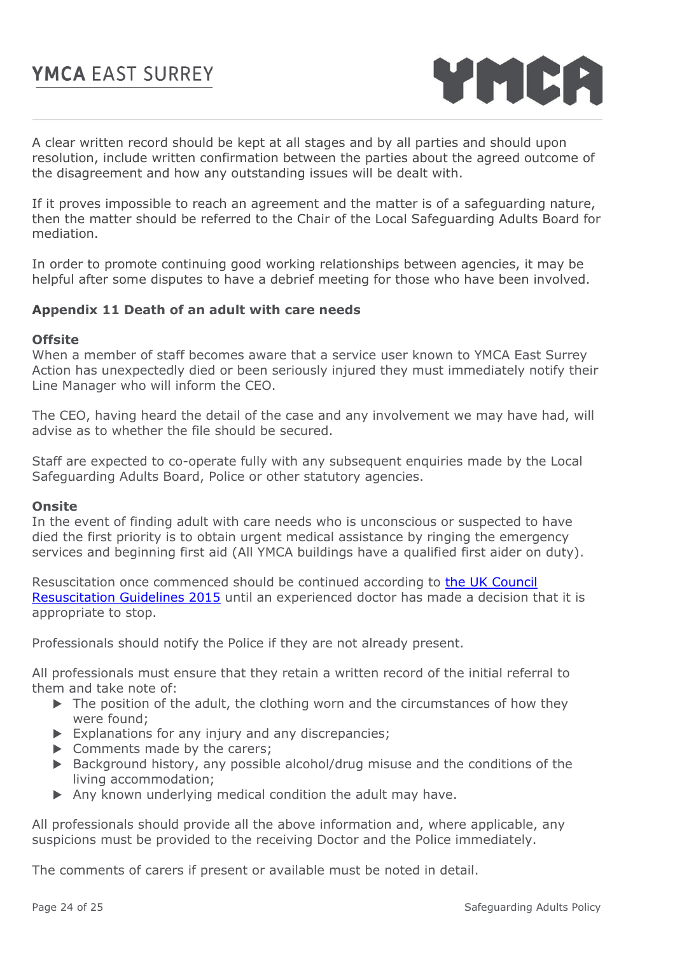

A clear written record should be kept at all stages and by all parties and should upon resolution, include written confirmation between the parties about the agreed outcome of the disagreement and how any outstanding issues will be dealt with.

If it proves impossible to reach an agreement and the matter is of a safeguarding nature, then the matter should be referred to the Chair of the Local Safeguarding Adults Board for mediation.

In order to promote continuing good working relationships between agencies, it may be helpful after some disputes to have a debrief meeting for those who have been involved.

#### **Appendix 11 Death of an adult with care needs**

#### **Offsite**

When a member of staff becomes aware that a service user known to YMCA East Surrey Action has unexpectedly died or been seriously injured they must immediately notify their Line Manager who will inform the CEO.

The CEO, having heard the detail of the case and any involvement we may have had, will advise as to whether the file should be secured.

Staff are expected to co-operate fully with any subsequent enquiries made by the Local Safeguarding Adults Board, Police or other statutory agencies.

#### **Onsite**

In the event of finding adult with care needs who is unconscious or suspected to have died the first priority is to obtain urgent medical assistance by ringing the emergency services and beginning first aid (All YMCA buildings have a qualified first aider on duty).

Resuscitation once commenced should be continued according to the [UK Council](https://www.resus.org.uk/resuscitation-guidelines/)  [Resuscitation Guidelines 2015](https://www.resus.org.uk/resuscitation-guidelines/) until an experienced doctor has made a decision that it is appropriate to stop.

Professionals should notify the Police if they are not already present.

All professionals must ensure that they retain a written record of the initial referral to them and take note of:

- $\triangleright$  The position of the adult, the clothing worn and the circumstances of how they were found;
- $\triangleright$  Explanations for any injury and any discrepancies;
- $\triangleright$  Comments made by the carers;
- ▶ Background history, any possible alcohol/drug misuse and the conditions of the living accommodation;
- Any known underlying medical condition the adult may have.

All professionals should provide all the above information and, where applicable, any suspicions must be provided to the receiving Doctor and the Police immediately.

The comments of carers if present or available must be noted in detail.